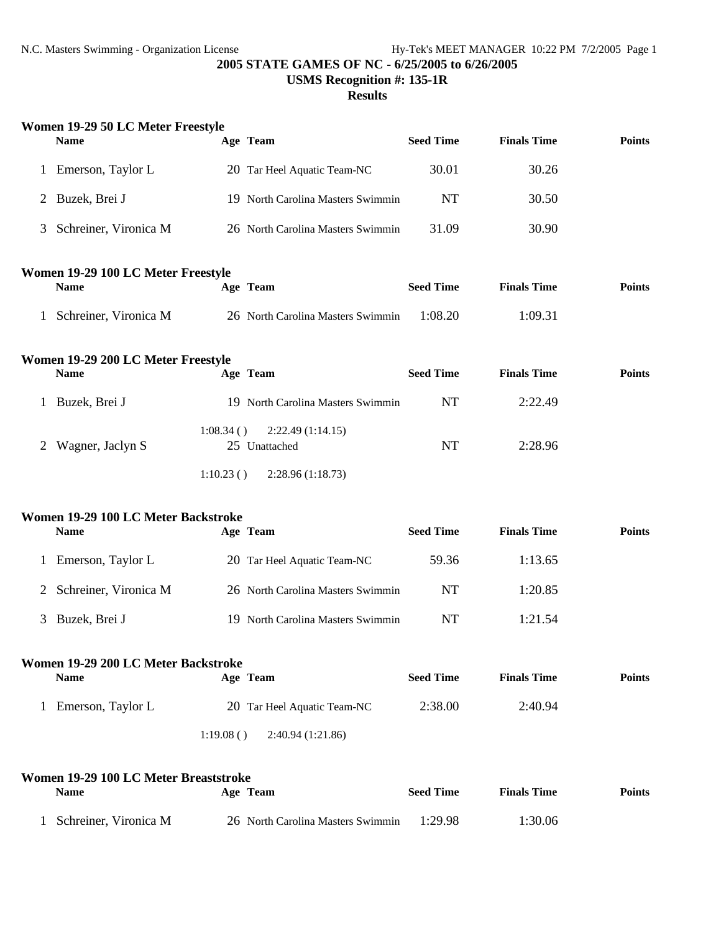**USMS Recognition #: 135-1R**

# **Results**

|              | Women 19-29 50 LC Meter Freestyle<br><b>Name</b>     |           | Age Team                          | <b>Seed Time</b> | <b>Finals Time</b> | <b>Points</b> |
|--------------|------------------------------------------------------|-----------|-----------------------------------|------------------|--------------------|---------------|
|              | 1 Emerson, Taylor L                                  |           | 20 Tar Heel Aquatic Team-NC       | 30.01            | 30.26              |               |
| $\mathbf{2}$ | Buzek, Brei J                                        |           | 19 North Carolina Masters Swimmin | <b>NT</b>        | 30.50              |               |
| 3            | Schreiner, Vironica M                                |           | 26 North Carolina Masters Swimmin | 31.09            | 30.90              |               |
|              | Women 19-29 100 LC Meter Freestyle<br><b>Name</b>    |           | Age Team                          | <b>Seed Time</b> | <b>Finals Time</b> | <b>Points</b> |
| 1            | Schreiner, Vironica M                                |           | 26 North Carolina Masters Swimmin | 1:08.20          | 1:09.31            |               |
|              |                                                      |           |                                   |                  |                    |               |
|              | Women 19-29 200 LC Meter Freestyle<br><b>Name</b>    |           | Age Team                          | <b>Seed Time</b> | <b>Finals Time</b> | <b>Points</b> |
| $\mathbf{1}$ | Buzek, Brei J                                        |           | 19 North Carolina Masters Swimmin | <b>NT</b>        | 2:22.49            |               |
| 2            | Wagner, Jaclyn S                                     | 1:08.34() | 2:22.49(1:14.15)<br>25 Unattached | <b>NT</b>        | 2:28.96            |               |
|              |                                                      | 1:10.23() | 2:28.96(1:18.73)                  |                  |                    |               |
|              | Women 19-29 100 LC Meter Backstroke                  |           |                                   |                  |                    |               |
|              | <b>Name</b>                                          |           | Age Team                          | <b>Seed Time</b> | <b>Finals Time</b> | <b>Points</b> |
| $\mathbf{1}$ | Emerson, Taylor L                                    |           | 20 Tar Heel Aquatic Team-NC       | 59.36            | 1:13.65            |               |
| $\mathbf{2}$ | Schreiner, Vironica M                                |           | 26 North Carolina Masters Swimmin | NT               | 1:20.85            |               |
| 3            | Buzek, Brei J                                        |           | 19 North Carolina Masters Swimmin | <b>NT</b>        | 1:21.54            |               |
|              | Women 19-29 200 LC Meter Backstroke<br><b>Name</b>   |           | Age Team                          | <b>Seed Time</b> | <b>Finals Time</b> | <b>Points</b> |
|              |                                                      |           |                                   | 2:38.00          | 2:40.94            |               |
| 1            | Emerson, Taylor L                                    |           | 20 Tar Heel Aquatic Team-NC       |                  |                    |               |
|              |                                                      | 1:19.08() | 2:40.94(1:21.86)                  |                  |                    |               |
|              | Women 19-29 100 LC Meter Breaststroke<br><b>Name</b> |           | Age Team                          | <b>Seed Time</b> | <b>Finals Time</b> | <b>Points</b> |
|              |                                                      |           |                                   |                  |                    |               |

1 Schreiner, Vironica M 26 North Carolina Masters Swimmin 1:29.98 1:30.06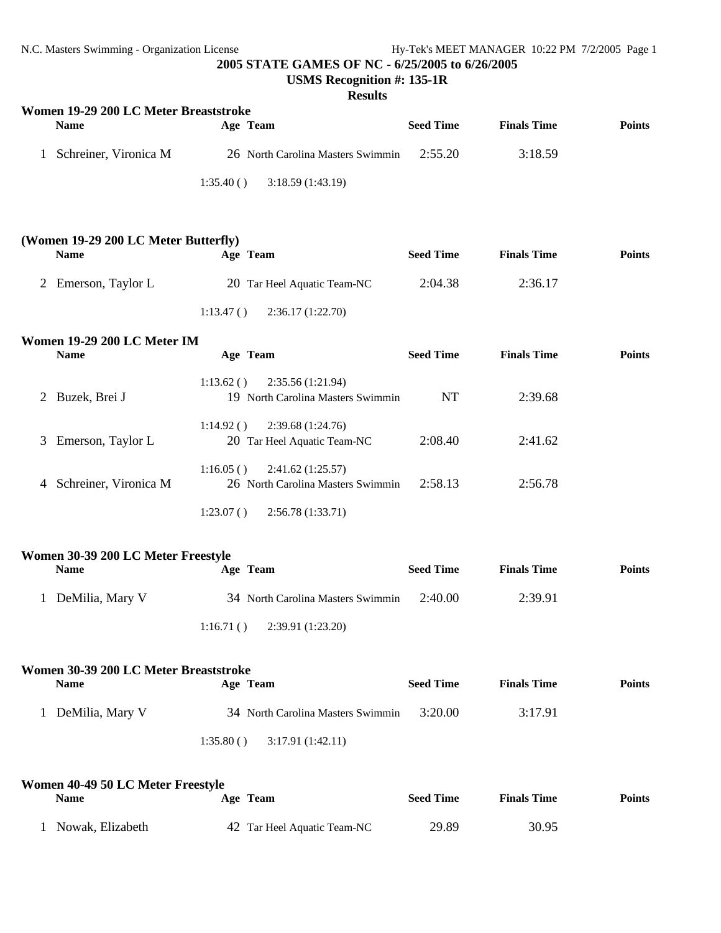**USMS Recognition #: 135-1R**

### **Results**

| Women 19-29 200 LC Meter Breaststroke |                       |  |                                           |                  |                    |               |
|---------------------------------------|-----------------------|--|-------------------------------------------|------------------|--------------------|---------------|
|                                       | <b>Name</b>           |  | Age Team                                  | <b>Seed Time</b> | <b>Finals Time</b> | <b>Points</b> |
|                                       | Schreiner, Vironica M |  | 26 North Carolina Masters Swimmin 2:55.20 |                  | 3:18.59            |               |
|                                       |                       |  | $1:35.40()$ $3:18.59(1:43.19)$            |                  |                    |               |

| (Women 19-29 200 LC Meter Butterfly)<br><b>Name</b> | Age Team                       | <b>Seed Time</b> | <b>Finals Time</b> | Points |
|-----------------------------------------------------|--------------------------------|------------------|--------------------|--------|
| 2 Emerson, Taylor L                                 | 20 Tar Heel Aquatic Team-NC    | 2:04.38          | 2:36.17            |        |
|                                                     | $1:13.47()$ $2:36.17(1:22.70)$ |                  |                    |        |

# **Women 19-29 200 LC Meter IM**

|   | <b>Name</b>             | Age Team                                                           | <b>Seed Time</b> | <b>Finals Time</b> | <b>Points</b> |
|---|-------------------------|--------------------------------------------------------------------|------------------|--------------------|---------------|
| 2 | Buzek, Brei J           | 2:35.56(1:21.94)<br>1:13.62()<br>19 North Carolina Masters Swimmin | <b>NT</b>        | 2:39.68            |               |
|   | Emerson, Taylor L<br>3  | 2:39.68(1:24.76)<br>1:14.92()<br>20 Tar Heel Aquatic Team-NC       | 2:08.40          | 2:41.62            |               |
|   | 4 Schreiner, Vironica M | 2:41.62(1:25.57)<br>1:16.05()<br>26 North Carolina Masters Swimmin | 2:58.13          | 2:56.78            |               |
|   |                         | 1:23.07()<br>2:56.78(1:33.71)                                      |                  |                    |               |

| Women 30-39 200 LC Meter Freestyle |                                   |                  |                    |               |
|------------------------------------|-----------------------------------|------------------|--------------------|---------------|
| <b>Name</b>                        | Age Team                          | <b>Seed Time</b> | <b>Finals Time</b> | <b>Points</b> |
| DeMilia, Mary V                    | 34 North Carolina Masters Swimmin | 2:40.00          | 2:39.91            |               |
|                                    | 2:39.91 (1:23.20)<br>1:16.71()    |                  |                    |               |

| Women 30-39 200 LC Meter Breaststroke |                                   |                  |                    |        |
|---------------------------------------|-----------------------------------|------------------|--------------------|--------|
| <b>Name</b>                           | Age Team                          | <b>Seed Time</b> | <b>Finals Time</b> | Points |
| 1 DeMilia, Mary V                     | 34 North Carolina Masters Swimmin | 3:20.00          | 3:17.91            |        |
|                                       | $1:35.80()$ $3:17.91(1:42.11)$    |                  |                    |        |

| Women 40-49 50 LC Meter Freestyle |                             |                  |                    |               |  |  |
|-----------------------------------|-----------------------------|------------------|--------------------|---------------|--|--|
| <b>Name</b>                       | Age Team                    | <b>Seed Time</b> | <b>Finals Time</b> | <b>Points</b> |  |  |
|                                   |                             |                  |                    |               |  |  |
| Nowak. Elizabeth                  | 42 Tar Heel Aquatic Team-NC | 29.89            | 30.95              |               |  |  |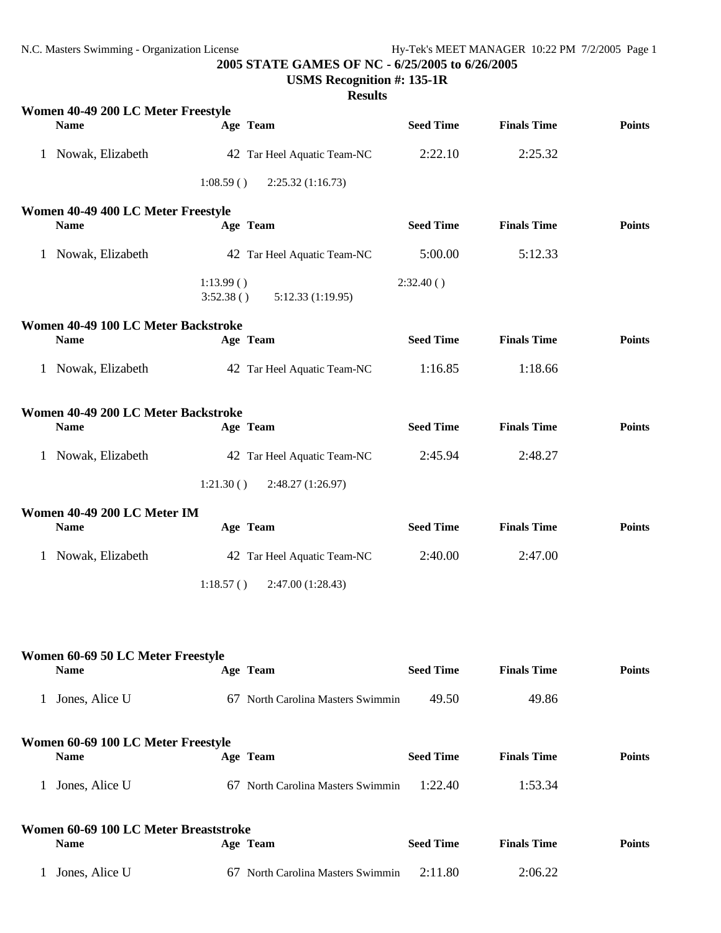**USMS Recognition #: 135-1R**

## **Results**

|              | Women 40-49 200 LC Meter Freestyle    |                        |                                   |                  |                    |               |
|--------------|---------------------------------------|------------------------|-----------------------------------|------------------|--------------------|---------------|
|              | <b>Name</b>                           |                        | Age Team                          | <b>Seed Time</b> | <b>Finals Time</b> | <b>Points</b> |
|              | 1 Nowak, Elizabeth                    |                        | 42 Tar Heel Aquatic Team-NC       | 2:22.10          | 2:25.32            |               |
|              |                                       | 1:08.59()              | 2:25.32(1:16.73)                  |                  |                    |               |
|              | Women 40-49 400 LC Meter Freestyle    |                        |                                   |                  |                    |               |
|              | <b>Name</b>                           |                        | Age Team                          | <b>Seed Time</b> | <b>Finals Time</b> | <b>Points</b> |
|              | 1 Nowak, Elizabeth                    |                        | 42 Tar Heel Aquatic Team-NC       | 5:00.00          | 5:12.33            |               |
|              |                                       | 1:13.99()<br>3:52.38() | 5:12.33 (1:19.95)                 | 2:32.40()        |                    |               |
|              | Women 40-49 100 LC Meter Backstroke   |                        |                                   |                  |                    |               |
|              | <b>Name</b>                           |                        | Age Team                          | <b>Seed Time</b> | <b>Finals Time</b> | <b>Points</b> |
|              | 1 Nowak, Elizabeth                    |                        | 42 Tar Heel Aquatic Team-NC       | 1:16.85          | 1:18.66            |               |
|              | Women 40-49 200 LC Meter Backstroke   |                        |                                   |                  |                    |               |
|              | Name                                  |                        | Age Team                          | <b>Seed Time</b> | <b>Finals Time</b> | <b>Points</b> |
|              | 1 Nowak, Elizabeth                    |                        | 42 Tar Heel Aquatic Team-NC       | 2:45.94          | 2:48.27            |               |
|              |                                       | 1:21.30()              | 2:48.27 (1:26.97)                 |                  |                    |               |
|              | Women 40-49 200 LC Meter IM           |                        |                                   |                  |                    |               |
|              | <b>Name</b>                           |                        | Age Team                          | <b>Seed Time</b> | <b>Finals Time</b> | <b>Points</b> |
| $\mathbf{I}$ | Nowak, Elizabeth                      |                        | 42 Tar Heel Aquatic Team-NC       | 2:40.00          | 2:47.00            |               |
|              |                                       | 1:18.57()              | 2:47.00 (1:28.43)                 |                  |                    |               |
|              |                                       |                        |                                   |                  |                    |               |
|              | Women 60-69 50 LC Meter Freestyle     |                        |                                   |                  |                    |               |
|              | <b>Name</b>                           |                        | Age Team                          | <b>Seed Time</b> | <b>Finals Time</b> | <b>Points</b> |
| $\mathbf{1}$ | Jones, Alice U                        |                        | 67 North Carolina Masters Swimmin | 49.50            | 49.86              |               |
|              | Women 60-69 100 LC Meter Freestyle    |                        |                                   |                  |                    |               |
|              | <b>Name</b>                           |                        | Age Team                          | <b>Seed Time</b> | <b>Finals Time</b> | <b>Points</b> |
| $\mathbf{1}$ | Jones, Alice U                        |                        | 67 North Carolina Masters Swimmin | 1:22.40          | 1:53.34            |               |
|              | Women 60-69 100 LC Meter Breaststroke |                        |                                   |                  |                    |               |
|              | <b>Name</b>                           |                        | Age Team                          | <b>Seed Time</b> | <b>Finals Time</b> | <b>Points</b> |
|              | 1 Jones, Alice U                      |                        | 67 North Carolina Masters Swimmin | 2:11.80          | 2:06.22            |               |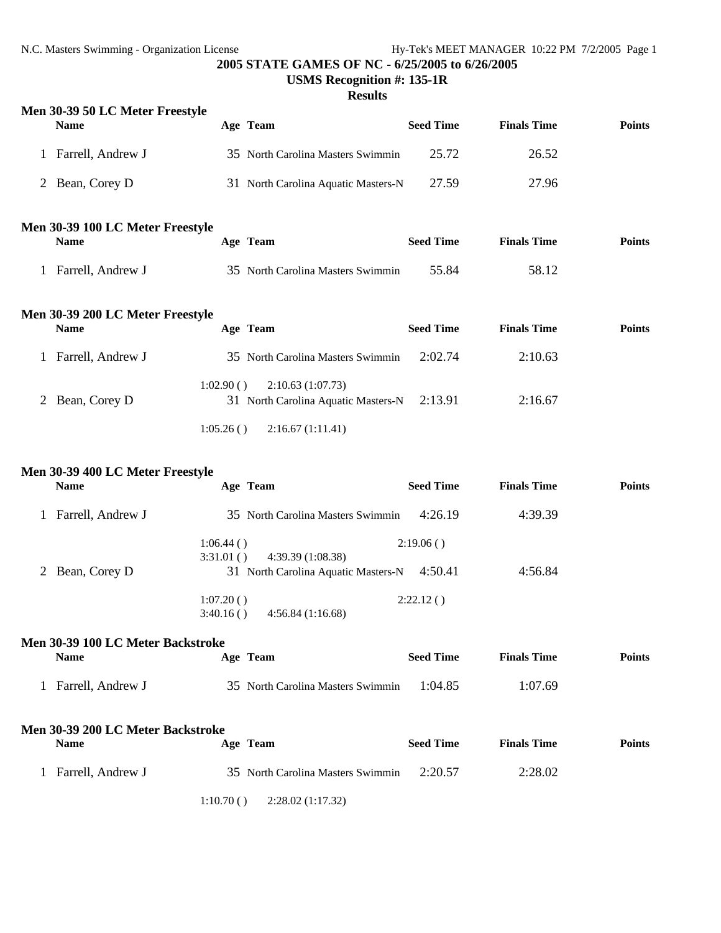**USMS Recognition #: 135-1R**

## **Results**

| Men 30-39 50 LC Meter Freestyle<br><b>Name</b>  | Age Team                            | <b>Seed Time</b> | <b>Finals Time</b> | <b>Points</b> |
|-------------------------------------------------|-------------------------------------|------------------|--------------------|---------------|
| Farrell, Andrew J                               | 35 North Carolina Masters Swimmin   | 25.72            | 26.52              |               |
| 2 Bean, Corey D                                 | 31 North Carolina Aquatic Masters-N | 27.59            | 27.96              |               |
| Men 30-39 100 LC Meter Freestyle<br><b>Name</b> | Age Team                            | <b>Seed Time</b> | <b>Finals Time</b> | <b>Points</b> |
| Farrell, Andrew J                               | 35 North Carolina Masters Swimmin   | 55.84            | 58.12              |               |
| Men 30-39 200 LC Meter Freestyle<br><b>Name</b> | Age Team                            | <b>Seed Time</b> | <b>Finals Time</b> | <b>Points</b> |
| Farrell, Andrew J                               | 35 North Carolina Masters Swimmin   | 2:02.74          | 2:10.63            |               |

1:05.26 ( ) 2:16.67 (1:11.41)

1:02.90 ( ) 2:10.63 (1:07.73)

2 Bean, Corey D 31 North Carolina Aquatic Masters-N 2:13.91 2:16.67

### **Men 30-39 400 LC Meter Freestyle**

| <b>Name</b>       | Age Team                                    | <b>Seed Time</b> | <b>Finals Time</b> | <b>Points</b> |
|-------------------|---------------------------------------------|------------------|--------------------|---------------|
| Farrell, Andrew J | 35 North Carolina Masters Swimmin           | 4:26.19          | 4:39.39            |               |
|                   | 1:06.44()<br>4:39.39 (1:08.38)<br>3:31.01() | 2:19.06()        |                    |               |
| 2 Bean, Corey D   | 31 North Carolina Aquatic Masters-N         | 4:50.41          | 4:56.84            |               |
|                   | 1:07.20()                                   | 2:22.12()        |                    |               |
|                   | 4:56.84(1:16.68)<br>3:40.16()               |                  |                    |               |

| Men 30-39 100 LC Meter Backstroke |                                   |                  |                    |               |  |  |
|-----------------------------------|-----------------------------------|------------------|--------------------|---------------|--|--|
| Name                              | Age Team                          | <b>Seed Time</b> | <b>Finals Time</b> | <b>Points</b> |  |  |
| Farrell, Andrew J                 | 35 North Carolina Masters Swimmin | 1.04.85          | 1:07.69            |               |  |  |

| Men 30-39 200 LC Meter Backstroke |                                   |                  |                    |               |  |
|-----------------------------------|-----------------------------------|------------------|--------------------|---------------|--|
| Name                              | Age Team                          | <b>Seed Time</b> | <b>Finals Time</b> | <b>Points</b> |  |
| Farrell. Andrew J                 | 35 North Carolina Masters Swimmin | 2:20.57          | 2:28.02            |               |  |

1:10.70 ( ) 2:28.02 (1:17.32)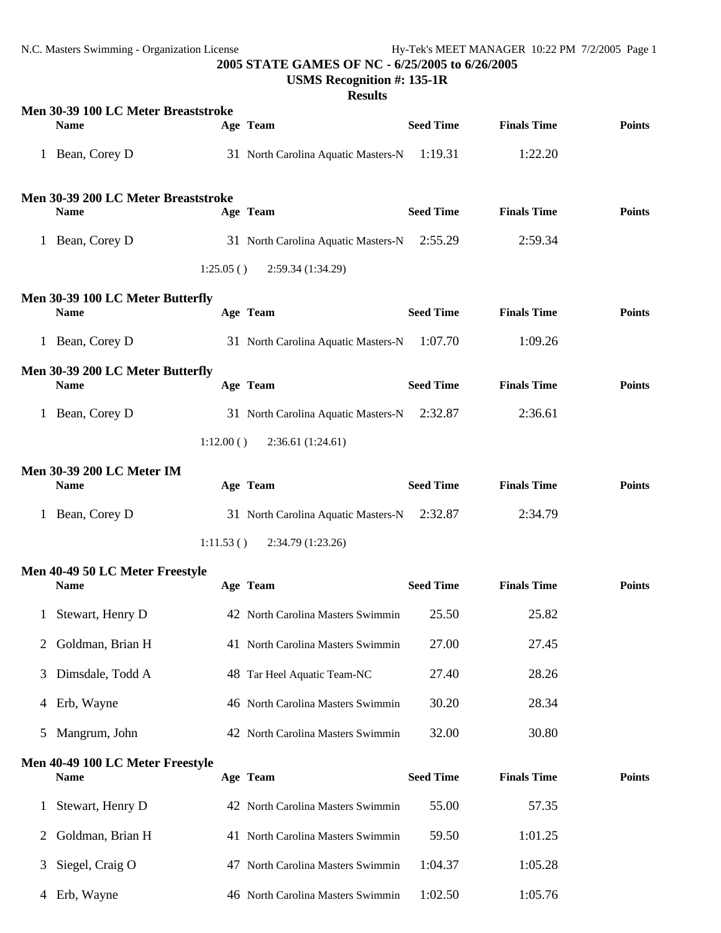**USMS Recognition #: 135-1R**

### **Results**

|   | Men 30-39 100 LC Meter Breaststroke<br><b>Name</b> |           | Age Team                                    | <b>Seed Time</b> | <b>Finals Time</b> | <b>Points</b> |
|---|----------------------------------------------------|-----------|---------------------------------------------|------------------|--------------------|---------------|
|   | 1 Bean, Corey D                                    |           | 31 North Carolina Aquatic Masters-N 1:19.31 |                  | 1:22.20            |               |
|   | Men 30-39 200 LC Meter Breaststroke<br><b>Name</b> |           | Age Team                                    | <b>Seed Time</b> | <b>Finals Time</b> | <b>Points</b> |
|   | 1 Bean, Corey D                                    |           | 31 North Carolina Aquatic Masters-N 2:55.29 |                  | 2:59.34            |               |
|   |                                                    | 1:25.05() | 2:59.34 (1:34.29)                           |                  |                    |               |
|   | Men 30-39 100 LC Meter Butterfly<br><b>Name</b>    |           | Age Team                                    | <b>Seed Time</b> | <b>Finals Time</b> | <b>Points</b> |
|   | 1 Bean, Corey D                                    |           | 31 North Carolina Aquatic Masters-N 1:07.70 |                  | 1:09.26            |               |
|   | Men 30-39 200 LC Meter Butterfly<br><b>Name</b>    |           | Age Team                                    | <b>Seed Time</b> | <b>Finals Time</b> | <b>Points</b> |
|   | 1 Bean, Corey D                                    |           | 31 North Carolina Aquatic Masters-N 2:32.87 |                  | 2:36.61            |               |
|   |                                                    | 1:12.00() | 2:36.61(1:24.61)                            |                  |                    |               |
|   | <b>Men 30-39 200 LC Meter IM</b><br><b>Name</b>    |           | Age Team                                    | <b>Seed Time</b> | <b>Finals Time</b> | <b>Points</b> |
|   | 1 Bean, Corey D                                    |           | 31 North Carolina Aquatic Masters-N 2:32.87 |                  | 2:34.79            |               |
|   |                                                    | 1:11.53() | 2:34.79 (1:23.26)                           |                  |                    |               |
|   | Men 40-49 50 LC Meter Freestyle<br><b>Name</b>     |           | Age Team                                    | <b>Seed Time</b> | <b>Finals Time</b> | <b>Points</b> |
|   | 1 Stewart, Henry D                                 |           | 42 North Carolina Masters Swimmin           | 25.50            | 25.82              |               |
|   | Goldman, Brian H                                   |           | 41 North Carolina Masters Swimmin           | 27.00            | 27.45              |               |
| 3 | Dimsdale, Todd A                                   |           | 48 Tar Heel Aquatic Team-NC                 | 27.40            | 28.26              |               |
| 4 | Erb, Wayne                                         |           | 46 North Carolina Masters Swimmin           | 30.20            | 28.34              |               |
| 5 | Mangrum, John                                      |           | 42 North Carolina Masters Swimmin           | 32.00            | 30.80              |               |
|   | Men 40-49 100 LC Meter Freestyle<br><b>Name</b>    |           | Age Team                                    | <b>Seed Time</b> | <b>Finals Time</b> | <b>Points</b> |
| 1 | Stewart, Henry D                                   |           | 42 North Carolina Masters Swimmin           | 55.00            | 57.35              |               |
| 2 | Goldman, Brian H                                   |           | 41 North Carolina Masters Swimmin           | 59.50            | 1:01.25            |               |
| 3 | Siegel, Craig O                                    |           | 47 North Carolina Masters Swimmin           | 1:04.37          | 1:05.28            |               |
| 4 | Erb, Wayne                                         |           | 46 North Carolina Masters Swimmin           | 1:02.50          | 1:05.76            |               |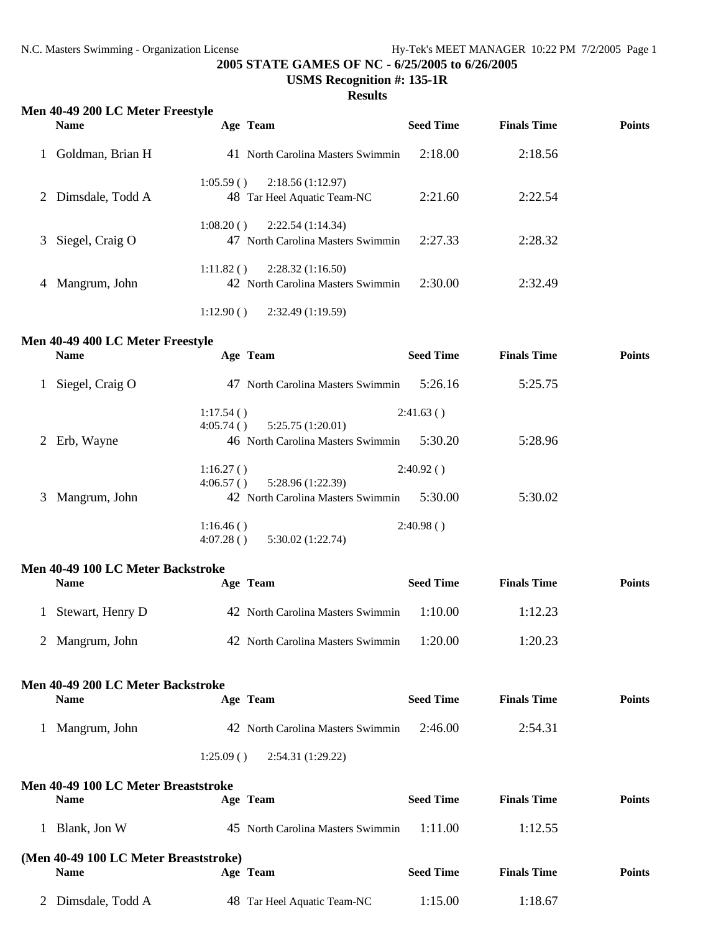#### **USMS Recognition #: 135-1R**

### **Results**

|  |  |  |  |  | <b>Men 40-49 200 LC Meter Freestyle</b> |
|--|--|--|--|--|-----------------------------------------|
|--|--|--|--|--|-----------------------------------------|

|   | <b>Name</b>       | Age Team                                                              | <b>Seed Time</b> | <b>Finals Time</b> | <b>Points</b> |
|---|-------------------|-----------------------------------------------------------------------|------------------|--------------------|---------------|
|   | Goldman, Brian H  | 41 North Carolina Masters Swimmin                                     | 2:18.00          | 2:18.56            |               |
| 2 | Dimsdale, Todd A  | 1:05.59()<br>2:18.56(1:12.97)<br>48 Tar Heel Aquatic Team-NC          | 2:21.60          | 2:22.54            |               |
|   | 3 Siegel, Craig O | 2:22.54(1:14.34)<br>1:08.20()<br>North Carolina Masters Swimmin<br>47 | 2:27.33          | 2:28.32            |               |
| 4 | Mangrum, John     | 2:28.32(1:16.50)<br>1:11.82()<br>42 North Carolina Masters Swimmin    | 2:30.00          | 2:32.49            |               |
|   |                   | 1:12.90()<br>2:32.49(1:19.59)                                         |                  |                    |               |

#### **Men 40-49 400 LC Meter Freestyle**

|   | <b>Name</b>     | Age Team                                    | <b>Seed Time</b> | <b>Finals Time</b> | <b>Points</b> |
|---|-----------------|---------------------------------------------|------------------|--------------------|---------------|
|   | Siegel, Craig O | 47 North Carolina Masters Swimmin           | 5:26.16          | 5:25.75            |               |
|   |                 | 1:17.54()<br>5:25.75(1:20.01)<br>4:05.74()  | 2:41.63()        |                    |               |
|   | 2 Erb, Wayne    | 46 North Carolina Masters Swimmin           | 5:30.20          | 5:28.96            |               |
|   |                 | 1:16.27()<br>5:28.96 (1:22.39)<br>4:06.57() | 2:40.92()        |                    |               |
| 3 | Mangrum, John   | 42 North Carolina Masters Swimmin           | 5:30.00          | 5:30.02            |               |
|   |                 | 1:16.46()<br>5:30.02 (1:22.74)<br>4:07.28() | 2:40.98()        |                    |               |

#### **Men 40-49 100 LC Meter Backstroke**

| <b>Name</b>        | Age Team                          | <b>Seed Time</b> | <b>Finals Time</b> | <b>Points</b> |
|--------------------|-----------------------------------|------------------|--------------------|---------------|
| 1 Stewart, Henry D | 42 North Carolina Masters Swimmin | 1:10.00          | 1:12.23            |               |
| 2 Mangrum, John    | 42 North Carolina Masters Swimmin | 1.20.00          | 1:20.23            |               |

# **Men 40-49 200 LC Meter Backstroke Name Age Team Seed Time Finals Time Points** 1 Mangrum, John 42 North Carolina Masters Swimmin 2:46.00 2:54.31

1:25.09 ( ) 2:54.31 (1:29.22)

| Men 40-49 100 LC Meter Breaststroke                  |                                   |                  |                    |               |
|------------------------------------------------------|-----------------------------------|------------------|--------------------|---------------|
| <b>Name</b>                                          | Age Team                          | <b>Seed Time</b> | <b>Finals Time</b> | <b>Points</b> |
| Blank, Jon W                                         | 45 North Carolina Masters Swimmin | 1:11.00          | 1:12.55            |               |
| (Men 40-49 100 LC Meter Breaststroke)<br><b>Name</b> | Age Team                          | <b>Seed Time</b> | <b>Finals Time</b> | <b>Points</b> |
| 2 Dimsdale, Todd A                                   | 48 Tar Heel Aquatic Team-NC       | 1:15.00          | 1:18.67            |               |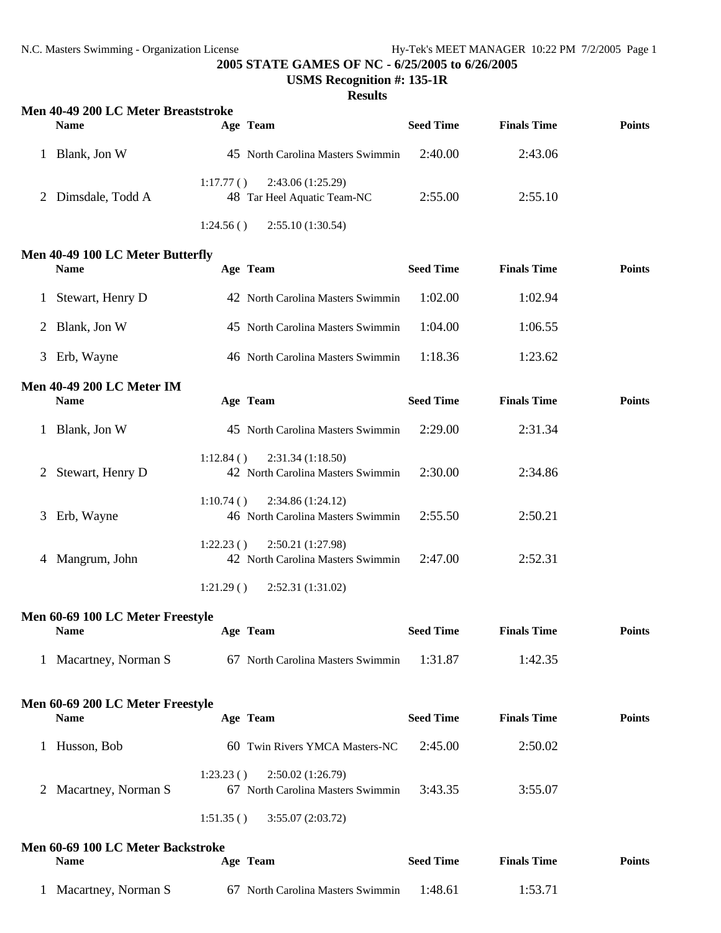**USMS Recognition #: 135-1R**

## **Results**

| Men 40-49 200 LC Meter Breaststroke<br><b>Name</b> |           | Age Team                                        | <b>Seed Time</b> | <b>Finals Time</b> | <b>Points</b> |
|----------------------------------------------------|-----------|-------------------------------------------------|------------------|--------------------|---------------|
| Blank, Jon W                                       |           | 45 North Carolina Masters Swimmin               | 2:40.00          | 2:43.06            |               |
| 2 Dimsdale, Todd A                                 | 1:17.77() | 2:43.06(1:25.29)<br>48 Tar Heel Aquatic Team-NC | 2:55.00          | 2:55.10            |               |
|                                                    | 1:24.56() | 2:55.10(1:30.54)                                |                  |                    |               |
| Men 40-49 100 LC Meter Butterfly                   |           |                                                 |                  |                    |               |

| $1.1011$ To $1.2001$ and $1.10001$ and $1.1001$<br><b>Name</b> | Age Team                          | <b>Seed Time</b> | <b>Finals Time</b> | <b>Points</b> |
|----------------------------------------------------------------|-----------------------------------|------------------|--------------------|---------------|
| Stewart, Henry D                                               | 42 North Carolina Masters Swimmin | 1:02.00          | 1:02.94            |               |
| 2 Blank, Jon W                                                 | 45 North Carolina Masters Swimmin | 1:04.00          | 1:06.55            |               |
| 3 Erb, Wayne                                                   | 46 North Carolina Masters Swimmin | 1:18.36          | 1:23.62            |               |
| <b>Men 40-49 200 LC Meter IM</b>                               |                                   |                  |                    |               |

|   | <b>Name</b>      | Age Team                                                           | <b>Seed Time</b> | <b>Finals Time</b> | <b>Points</b> |
|---|------------------|--------------------------------------------------------------------|------------------|--------------------|---------------|
|   | Blank, Jon W     | 45 North Carolina Masters Swimmin                                  | 2:29.00          | 2:31.34            |               |
| 2 | Stewart, Henry D | 2:31.34(1:18.50)<br>1:12.84()<br>42 North Carolina Masters Swimmin | 2:30.00          | 2:34.86            |               |
| 3 | Erb, Wayne       | 2:34.86(1:24.12)<br>1:10.74()<br>46 North Carolina Masters Swimmin | 2:55.50          | 2:50.21            |               |
| 4 | Mangrum, John    | 2:50.21(1:27.98)<br>1:22.23()<br>42 North Carolina Masters Swimmin | 2:47.00          | 2:52.31            |               |

1:21.29 ( ) 2:52.31 (1:31.02)

| Men 60-69 100 LC Meter Freestyle<br><b>Name</b> | Age Team                          | <b>Seed Time</b> | <b>Finals Time</b> | <b>Points</b> |
|-------------------------------------------------|-----------------------------------|------------------|--------------------|---------------|
| 1 Macartney, Norman S                           | 67 North Carolina Masters Swimmin | 1:31.87          | 1:42.35            |               |

| Men 60-69 200 LC Meter Freestyle<br><b>Name</b> | Age Team        |                                                    | <b>Seed Time</b> | <b>Finals Time</b> | <b>Points</b> |
|-------------------------------------------------|-----------------|----------------------------------------------------|------------------|--------------------|---------------|
| Husson, Bob                                     |                 | 60 Twin Rivers YMCA Masters-NC                     | 2:45.00          | 2:50.02            |               |
| 2 Macartney, Norman S                           | 1:23.23()<br>67 | 2:50.02(1:26.79)<br>North Carolina Masters Swimmin | 3:43.35          | 3:55.07            |               |
|                                                 | 1:51.35()       | 3:55.07(2:03.72)                                   |                  |                    |               |

| Men 60-69 100 LC Meter Backstroke |  |                                   |                  |                    |               |  |  |  |
|-----------------------------------|--|-----------------------------------|------------------|--------------------|---------------|--|--|--|
| <b>Name</b>                       |  | Age Team                          | <b>Seed Time</b> | <b>Finals Time</b> | <b>Points</b> |  |  |  |
| Macartney, Norman S               |  | 67 North Carolina Masters Swimmin | 1:48.61          | 1:53.71            |               |  |  |  |